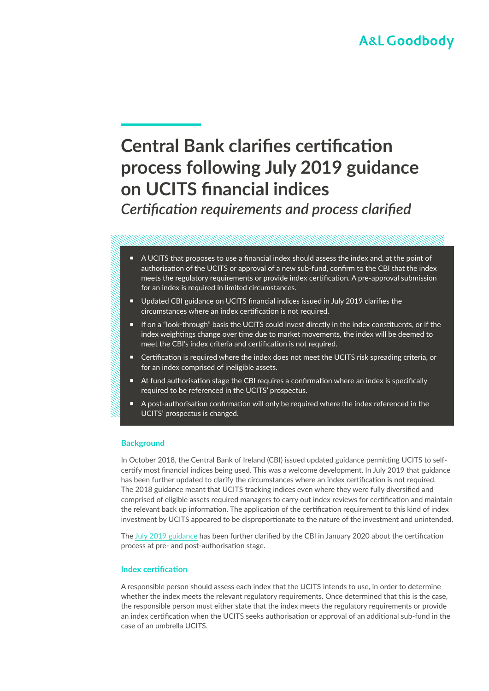# **Central Bank clarifies certification process following July 2019 guidance on UCITS financial indices** *Certification requirements and process clarified*

- A UCITS that proposes to use a financial index should assess the index and, at the point of authorisation of the UCITS or approval of a new sub-fund, confirm to the CBI that the index meets the regulatory requirements or provide index certification. A pre-approval submission for an index is required in limited circumstances.
- Updated CBI guidance on UCITS financial indices issued in July 2019 clarifies the circumstances where an index certification is not required.
- If on a "look-through" basis the UCITS could invest directly in the index constituents, or if the index weightings change over time due to market movements, the index will be deemed to meet the CBI's index criteria and certification is not required.
- Certification is required where the index does not meet the UCITS risk spreading criteria, or for an index comprised of ineligible assets.
- At fund authorisation stage the CBI requires a confirmation where an index is specifically required to be referenced in the UCITS' prospectus.
- A post-authorisation confirmation will only be required where the index referenced in the UCITS' prospectus is changed.

## **Background**

In October 2018, the Central Bank of Ireland (CBI) issued updated guidance permitting UCITS to selfcertify most financial indices being used. This was a welcome development. In July 2019 that guidance has been further updated to clarify the circumstances where an index certification is not required. The 2018 guidance meant that UCITS tracking indices even where they were fully diversified and comprised of eligible assets required managers to carry out index reviews for certification and maintain the relevant back up information. The application of the certification requirement to this kind of index investment by UCITS appeared to be disproportionate to the nature of the investment and unintended.

The [July 2019 guidance](https://www.centralbank.ie/regulation/industry-market-sectors/funds/ucits/guidance/ucits-financial-indices) has been further clarified by the CBI in January 2020 about the certification process at pre- and post-authorisation stage.

## **Index certification**

A responsible person should assess each index that the UCITS intends to use, in order to determine whether the index meets the relevant regulatory requirements. Once determined that this is the case, the responsible person must either state that the index meets the regulatory requirements or provide an index certification when the UCITS seeks authorisation or approval of an additional sub-fund in the case of an umbrella UCITS.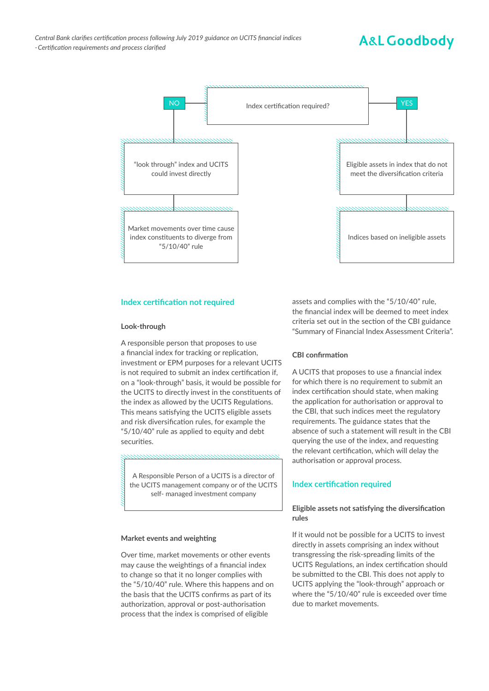## **A&L Goodbody**



### **Index certification not required**

#### **Look-through**

A responsible person that proposes to use a financial index for tracking or replication, investment or EPM purposes for a relevant UCITS is not required to submit an index certification if, on a "look-through" basis, it would be possible for the UCITS to directly invest in the constituents of the index as allowed by the UCITS Regulations. This means satisfying the UCITS eligible assets and risk diversification rules, for example the "5/10/40" rule as applied to equity and debt securities.

A Responsible Person of a UCITS is a director of the UCITS management company or of the UCITS self- managed investment company

#### **Market events and weighting**

Over time, market movements or other events may cause the weightings of a financial index to change so that it no longer complies with the "5/10/40" rule. Where this happens and on the basis that the UCITS confirms as part of its authorization, approval or post-authorisation process that the index is comprised of eligible

assets and complies with the "5/10/40" rule, the financial index will be deemed to meet index criteria set out in the section of the CBI guidance "Summary of Financial Index Assessment Criteria".

#### **CBI confirmation**

A UCITS that proposes to use a financial index for which there is no requirement to submit an index certification should state, when making the application for authorisation or approval to the CBI, that such indices meet the regulatory requirements. The guidance states that the absence of such a statement will result in the CBI querying the use of the index, and requesting the relevant certification, which will delay the authorisation or approval process.

## **Index certification required**

## **Eligible assets not satisfying the diversification rules**

If it would not be possible for a UCITS to invest directly in assets comprising an index without transgressing the risk-spreading limits of the UCITS Regulations, an index certification should be submitted to the CBI. This does not apply to UCITS applying the "look-through" approach or where the "5/10/40" rule is exceeded over time due to market movements.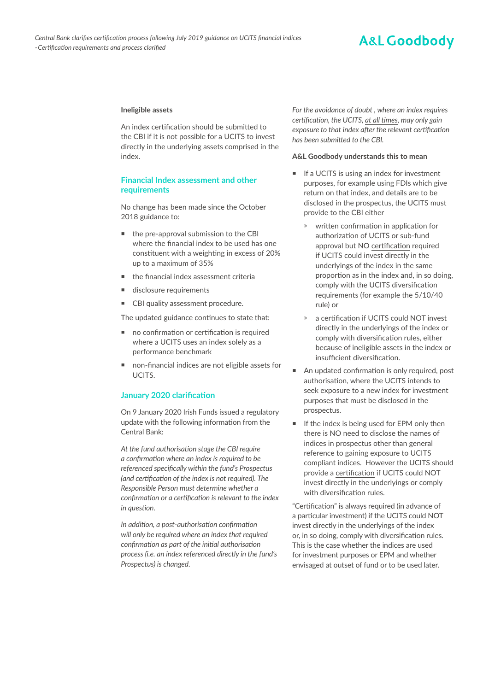## **A&L Goodbody**

#### **Ineligible assets**

An index certification should be submitted to the CBI if it is not possible for a UCITS to invest directly in the underlying assets comprised in the index.

### **Financial Index assessment and other requirements**

No change has been made since the October 2018 guidance to:

- the pre-approval submission to the CBI where the financial index to be used has one constituent with a weighting in excess of 20% up to a maximum of 35%
- the financial index assessment criteria
- disclosure requirements
- CBI quality assessment procedure.

The updated guidance continues to state that:

- no confirmation or certification is required where a UCITS uses an index solely as a performance benchmark
- non-financial indices are not eligible assets for **UCITS**

#### **January 2020 clarification**

On 9 January 2020 Irish Funds issued a regulatory update with the following information from the Central Bank:

*At the fund authorisation stage the CBI require a confirmation where an index is required to be referenced specifically within the fund's Prospectus (and certification of the index is not required). The Responsible Person must determine whether a confirmation or a certification is relevant to the index in question.*

*In addition, a post-authorisation confirmation will only be required where an index that required confirmation as part of the initial authorisation process (i.e. an index referenced directly in the fund's Prospectus) is changed.*

*For the avoidance of doubt , where an index requires certification, the UCITS, at all times, may only gain exposure to that index after the relevant certification has been submitted to the CBI.*

#### **A&L Goodbody understands this to mean**

- If a UCITS is using an index for investment purposes, for example using FDIs which give return on that index, and details are to be disclosed in the prospectus, the UCITS must provide to the CBI either
	- » written confirmation in application for authorization of UCITS or sub-fund approval but NO certification required if UCITS could invest directly in the underlyings of the index in the same proportion as in the index and, in so doing, comply with the UCITS diversification requirements (for example the 5/10/40 rule) or
	- a certification if UCITS could NOT invest directly in the underlyings of the index or comply with diversification rules, either because of ineligible assets in the index or insufficient diversification.
- An updated confirmation is only required, post authorisation, where the UCITS intends to seek exposure to a new index for investment purposes that must be disclosed in the prospectus.
- If the index is being used for EPM only then there is NO need to disclose the names of indices in prospectus other than general reference to gaining exposure to UCITS compliant indices. However the UCITS should provide a certification if UCITS could NOT invest directly in the underlyings or comply with diversification rules.

"Certification" is always required (in advance of a particular investment) if the UCITS could NOT invest directly in the underlyings of the index or, in so doing, comply with diversification rules. This is the case whether the indices are used for investment purposes or EPM and whether envisaged at outset of fund or to be used later.